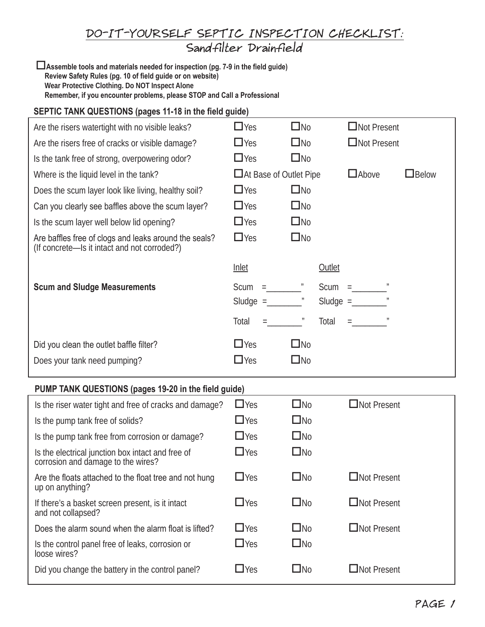# DO-IT-YOURSELF SEPTIC INSPECTION CHECKLIST: Sandfilter Drainfield

o**Assemble tools and materials needed for inspection (pg. 7-9 in the field guide) Review Safety Rules (pg. 10 of field guide or on website) Wear Protective Clothing. Do NOT Inspect Alone Remember, if you encounter problems, please STOP and Call a Professional**

# **SEPTIC TANK QUESTIONS (pages 11-18 in the field guide)**

| Are the risers watertight with no visible leaks?                                                      | $\Box$ Yes                                  | $\square$ No | $\Box$ Not Present           |  |
|-------------------------------------------------------------------------------------------------------|---------------------------------------------|--------------|------------------------------|--|
| Are the risers free of cracks or visible damage?                                                      | $\Box$ Yes                                  | $\square$ No | $\Box$ Not Present           |  |
| Is the tank free of strong, overpowering odor?                                                        | $\Box$ Yes                                  | $\square$ No |                              |  |
| Where is the liquid level in the tank?                                                                | □ At Base of Outlet Pipe                    |              | $\Box$ Above<br>$\Box$ Below |  |
| Does the scum layer look like living, healthy soil?                                                   | $\Box$ Yes                                  | $\square$ No |                              |  |
| Can you clearly see baffles above the scum layer?                                                     | $\Box$ Yes                                  | $\square$ No |                              |  |
| Is the scum layer well below lid opening?                                                             | $\Box$ Yes                                  | $\square$ No |                              |  |
| Are baffles free of clogs and leaks around the seals?<br>(If concrete-Is it intact and not corroded?) | $\Box$ Yes                                  | $\square$ No |                              |  |
|                                                                                                       | Inlet                                       | Outlet       |                              |  |
| <b>Scum and Sludge Measurements</b>                                                                   | $Scum = "$<br>$Sludge = \_\_\_\_\_\_\_\_''$ |              | $Scum = "$<br>$Sludge = \_$  |  |
|                                                                                                       |                                             |              |                              |  |
|                                                                                                       | Total                                       | Total        | $=$ $\frac{1}{2}$            |  |
| Did you clean the outlet baffle filter?                                                               | $\Box$ Yes                                  | $\square$ No |                              |  |
| Does your tank need pumping?                                                                          | $\Box$ Yes                                  | $\square$ No |                              |  |
|                                                                                                       |                                             |              |                              |  |
| PUMP TANK QUESTIONS (pages 19-20 in the field guide)                                                  |                                             |              |                              |  |
| Is the riser water tight and free of cracks and damage?                                               | $\Box$ Yes                                  | $\square$ No | $\Box$ Not Present           |  |
| Is the pump tank free of solids?                                                                      | $\Box$ Yes                                  | $\square$ No |                              |  |
| Is the pump tank free from corrosion or damage?                                                       | $\Box$ Yes                                  | $\square$ No |                              |  |
| Is the electrical junction box intact and free of<br>corrosion and damage to the wires?               | $\Box$ Yes                                  | $\square$ No |                              |  |
| Are the floats attached to the float tree and not hung<br>up on anything?                             | $\Box$ Yes                                  | $\square$ No | Not Present                  |  |
| If there's a basket screen present, is it intact<br>and not collapsed?                                | $\Box$ Yes                                  | $\square$ No | □Not Present                 |  |
| Does the alarm sound when the alarm float is lifted?                                                  | $\Box$ Yes                                  | $\square$ No | $\Box$ Not Present           |  |
| Is the control panel free of leaks, corrosion or<br>loose wires?                                      | $\Box$ Yes                                  | $\square$ No |                              |  |